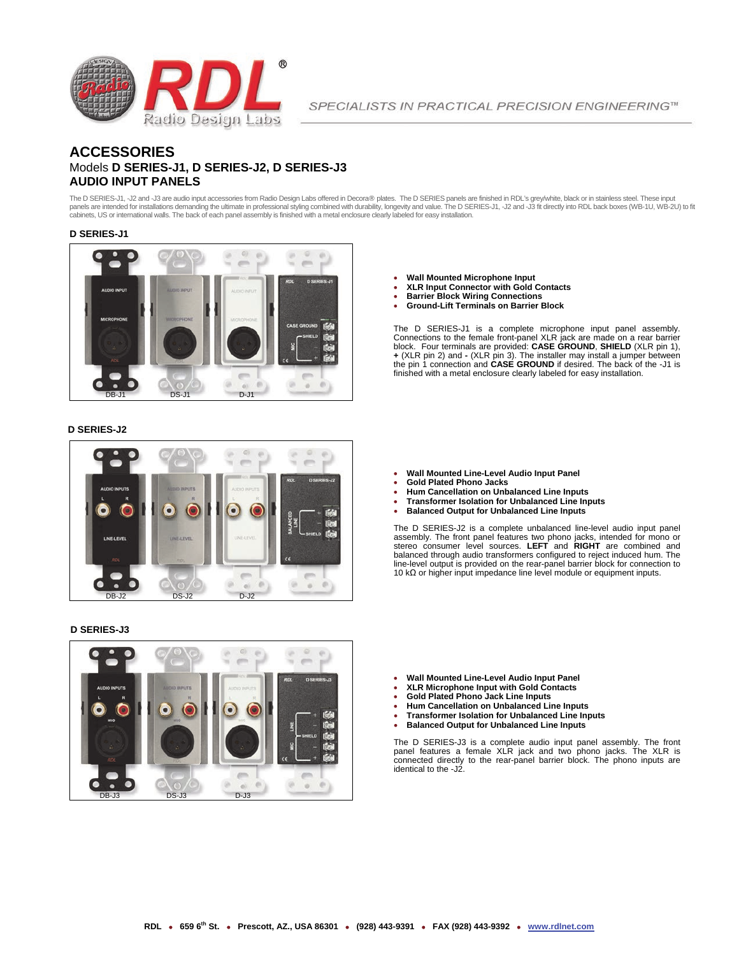

SPECIALISTS IN PRACTICAL PRECISION ENGINEERING™

## **ACCESSORIES** Models **D SERIES-J1, D SERIES-J2, D SERIES-J3 AUDIO INPUT PANELS**

The D SERIES-J1, -J2 and -J3 are audio input accessories from Radio Design Labs offered in Decora® plates. The D SERIES panels are finished in RDL's grey/white, black or in stainless steel. These input panels are intended for installations demanding the ultimate in professional styling combined with durability, longevity and value. The D SERIES-J1, -J2 and -J3 fit directly into RDL back boxes (WB-1U, WB-2U) to fit cabinets, US or international walls. The back of each panel assembly is finished with a metal enclosure clearly labeled for easy installation.

### **D SERIES-J1**



## **D SERIES-J2**



## **D SERIES-J3**



- **Wall Mounted Microphone Input**
- **XLR Input Connector with Gold Contacts**
- **Barrier Block Wiring Connections**
- **Ground-Lift Terminals on Barrier Block**

The D SERIES-J1 is a complete microphone input panel assembly.<br>Connections to the female front-panel XLR jack are made on a rear barrier<br>block. Four terminals are provided: **CASE GROUND, SHIELD** (XLR pin 1),<br>+ (XLR pin 2) finished with a metal enclosure clearly labeled for easy installation.

- **Wall Mounted Line-Level Audio Input Panel**
- **Gold Plated Phono Jacks**
- **Hum Cancellation on Unbalanced Line Inputs**
- **Transformer Isolation for Unbalanced Line Inputs**
- **Balanced Output for Unbalanced Line Inputs**

The D SERIES-J2 is a complete unbalanced line-level audio input panel assembly. The front panel features two phono jacks, intended for mono or<br>stereo consumer level sources. LEFT and RIGHT are combined and<br>balanced through audio transformers configured to reject induced hum. The<br>line-level o 10 kΩ or higher input impedance line level module or equipment inputs.

- **Wall Mounted Line-Level Audio Input Panel XLR Microphone Input with Gold Contacts**
- 
- **Gold Plated Phono Jack Line Inputs**
- **Hum Cancellation on Unbalanced Line Inputs**
- **Transformer Isolation for Unbalanced Line Inputs**
- **Balanced Output for Unbalanced Line Inputs**

The D SERIES-J3 is a complete audio input panel assembly. The front panel features a female XLR jack and two phono jacks. The XLR is connected directly to the rear-panel barrier block. The phono inputs are identical to the -J2.